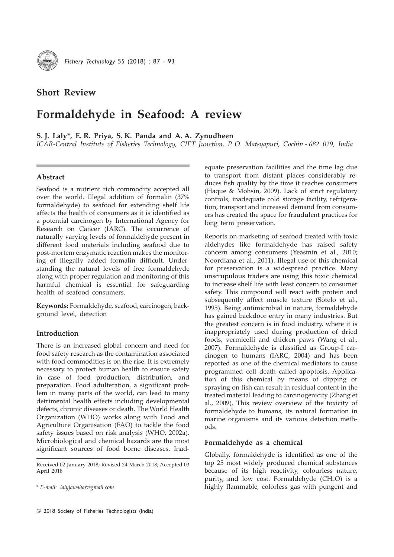

Fishery Technology 55 (2018) : 87 - 93

# Short Review

# Formaldehyde in Seafood: A review

S. J. Laly\*, E. R. Priya, S. K. Panda and A. A. Zynudheen

ICAR-Central Institute of Fisheries Technology, CIFT Junction, P. O. Matsyapuri, Cochin - 682 029, India

# Abstract

Seafood is a nutrient rich commodity accepted all over the world. Illegal addition of formalin (37% formaldehyde) to seafood for extending shelf life affects the health of consumers as it is identified as a potential carcinogen by International Agency for Research on Cancer (IARC). The occurrence of naturally varying levels of formaldehyde present in different food materials including seafood due to post-mortem enzymatic reaction makes the monitoring of illegally added formalin difficult. Understanding the natural levels of free formaldehyde along with proper regulation and monitoring of this harmful chemical is essential for safeguarding health of seafood consumers.

Keywords: Formaldehyde, seafood, carcinogen, background level, detection

## Introduction

There is an increased global concern and need for food safety research as the contamination associated with food commodities is on the rise. It is extremely necessary to protect human health to ensure safety in case of food production, distribution, and preparation. Food adulteration, a significant problem in many parts of the world, can lead to many detrimental health effects including developmental defects, chronic diseases or death. The World Health Organization (WHO) works along with Food and Agriculture Organisation (FAO) to tackle the food safety issues based on risk analysis (WHO, 2002a). Microbiological and chemical hazards are the most significant sources of food borne diseases. Inad-

*\** E-mail: lalyjawahar@gmail.com

equate preservation facilities and the time lag due to transport from distant places considerably reduces fish quality by the time it reaches consumers (Haque & Mohsin, 2009). Lack of strict regulatory controls, inadequate cold storage facility, refrigeration, transport and increased demand from consumers has created the space for fraudulent practices for long term preservation.

Reports on marketing of seafood treated with toxic aldehydes like formaldehyde has raised safety concern among consumers (Yeasmin et al., 2010; Noordiana et al., 2011). Illegal use of this chemical for preservation is a widespread practice. Many unscrupulous traders are using this toxic chemical to increase shelf life with least concern to consumer safety. This compound will react with protein and subsequently affect muscle texture (Sotelo et al., 1995). Being antimicrobial in nature, formaldehyde has gained backdoor entry in many industries. But the greatest concern is in food industry, where it is inappropriately used during production of dried foods, vermicelli and chicken paws (Wang et al., 2007). Formaldehyde is classified as Group-I carcinogen to humans (IARC, 2004) and has been reported as one of the chemical mediators to cause programmed cell death called apoptosis. Application of this chemical by means of dipping or spraying on fish can result in residual content in the treated material leading to carcinogenicity (Zhang et al., 2009). This review overview of the toxicity of formaldehyde to humans, its natural formation in marine organisms and its various detection methods.

#### Formaldehyde as a chemical

Globally, formaldehyde is identified as one of the top 25 most widely produced chemical substances because of its high reactivity, colourless nature, purity, and low cost. Formaldehyde  $(CH<sub>2</sub>O)$  is a highly flammable, colorless gas with pungent and

Received 02 January 2018; Revised 24 March 2018; Accepted 03 April 2018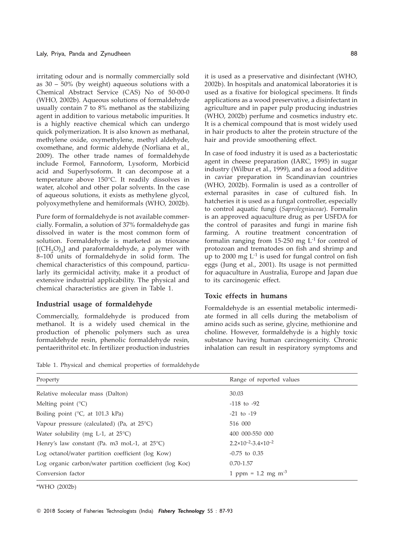irritating odour and is normally commercially sold as 30 – 50% (by weight) aqueous solutions with a Chemical Abstract Service (CAS) No of 50-00-0 (WHO, 2002b). Aqueous solutions of formaldehyde usually contain 7 to 8% methanol as the stabilizing agent in addition to various metabolic impurities. It is a highly reactive chemical which can undergo quick polymerization. It is also known as methanal, methylene oxide, oxymethylene, methyl aldehyde, oxomethane, and formic aldehyde (Norliana et al., 2009). The other trade names of formaldehyde include Formol, Fannoform, Lysoform, Morbicid acid and Superlysoform. It can decompose at a temperature above 150°C. It readily dissolves in water, alcohol and other polar solvents. In the case of aqueous solutions, it exists as methylene glycol, polyoxymethylene and hemiformals (WHO, 2002b).

Pure form of formaldehyde is not available commercially. Formalin, a solution of 37% formaldehyde gas dissolved in water is the most common form of solution. Formaldehyde is marketed as trioxane  $[{\rm (CH, O)}_3]$  and paraformaldehyde, a polymer with 8–100 units of formaldehyde in solid form. The chemical characteristics of this compound, particularly its germicidal activity, make it a product of extensive industrial applicability. The physical and chemical characteristics are given in Table 1.

### Industrial usage of formaldehyde

Commercially, formaldehyde is produced from methanol. It is a widely used chemical in the production of phenolic polymers such as urea formaldehyde resin, phenolic formaldehyde resin, pentaerithritol etc. In fertilizer production industries

it is used as a preservative and disinfectant (WHO, 2002b). In hospitals and anatomical laboratories it is used as a fixative for biological specimens. It finds applications as a wood preservative, a disinfectant in agriculture and in paper pulp producing industries (WHO, 2002b) perfume and cosmetics industry etc. It is a chemical compound that is most widely used in hair products to alter the protein structure of the hair and provide smoothening effect.

In case of food industry it is used as a bacteriostatic agent in cheese preparation (IARC, 1995) in sugar industry (Wilbur et al., 1999), and as a food additive in caviar preparation in Scandinavian countries (WHO, 2002b). Formalin is used as a controller of external parasites in case of cultured fish. In hatcheries it is used as a fungal controller, especially to control aquatic fungi (Saprolegniaceae). Formalin is an approved aquaculture drug as per USFDA for the control of parasites and fungi in marine fish farming. A routine treatment concentration of formalin ranging from  $15-250$  mg  $L^{-1}$  for control of protozoan and trematodes on fish and shrimp and up to 2000 mg  $L^{-1}$  is used for fungal control on fish eggs (Jung et al., 2001). Its usage is not permitted for aquaculture in Australia, Europe and Japan due to its carcinogenic effect.

## Toxic effects in humans

Formaldehyde is an essential metabolic intermediate formed in all cells during the metabolism of amino acids such as serine, glycine, methionine and choline. However, formaldehyde is a highly toxic substance having human carcinogenicity. Chronic inhalation can result in respiratory symptoms and

| Property                                                 | Range of reported values                  |
|----------------------------------------------------------|-------------------------------------------|
| Relative molecular mass (Dalton)                         | 30.03                                     |
| Melting point $(^{\circ}C)$                              | $-118$ to $-92$                           |
| Boiling point ( ${}^{\circ}C$ , at 101.3 kPa)            | $-21$ to $-19$                            |
| Vapour pressure (calculated) (Pa, at $25^{\circ}$ C)     | 516 000                                   |
| Water solubility (mg L-1, at $25^{\circ}$ C)             | 400 000-550 000                           |
| Henry's law constant (Pa. m3 moL-1, at $25^{\circ}$ C)   | $2.2 \times 10^{-2} - 3.4 \times 10^{-2}$ |
| Log octanol/water partition coefficient (log Kow)        | $-0.75$ to $0.35$                         |
| Log organic carbon/water partition coefficient (log Koc) | $0.70 - 1.57$                             |
| Conversion factor                                        | 1 ppm = 1.2 mg m <sup>-3</sup>            |

\*WHO (2002b)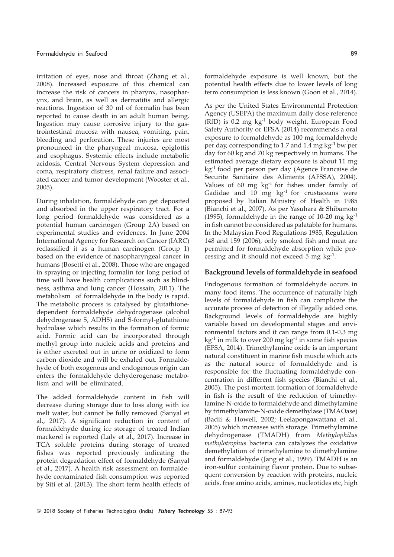irritation of eyes, nose and throat (Zhang et al., 2008). Increased exposure of this chemical can increase the risk of cancers in pharynx, nasopharynx, and brain, as well as dermatitis and allergic reactions. Ingestion of 30 ml of formalin has been reported to cause death in an adult human being. Ingestion may cause corrosive injury to the gastrointestinal mucosa with nausea, vomiting, pain, bleeding and perforation. These injuries are most pronounced in the pharyngeal mucosa, epiglottis and esophagus. Systemic effects include metabolic acidosis, Central Nervous System depression and coma, respiratory distress, renal failure and associated cancer and tumor development (Wooster et al., 2005).

During inhalation, formaldehyde can get deposited and absorbed in the upper respiratory tract. For a long period formaldehyde was considered as a potential human carcinogen (Group 2A) based on experimental studies and evidences. In June 2004 International Agency for Research on Cancer (IARC) reclassified it as a human carcinogen (Group 1) based on the evidence of nasopharyngeal cancer in humans (Bosetti et al., 2008). Those who are engaged in spraying or injecting formalin for long period of time will have health complications such as blindness, asthma and lung cancer (Hossain, 2011). The metabolism of formaldehyde in the body is rapid. The metabolic process is catalysed by glutathionedependent formaldehyde dehydrogenase (alcohol dehydrogenase 5, ADH5) and S-formyl-glutathione hydrolase which results in the formation of formic acid. Formic acid can be incorporated through methyl group into nucleic acids and proteins and is either excreted out in urine or oxidized to form carbon dioxide and will be exhaled out. Formaldehyde of both exogenous and endogenous origin can enters the formaldehyde dehyderogenase metabolism and will be eliminated.

The added formaldehyde content in fish will decrease during storage due to loss along with ice melt water, but cannot be fully removed (Sanyal et al., 2017). A significant reduction in content of formaldehyde during ice storage of treated Indian mackerel is reported (Laly et al., 2017). Increase in TCA soluble proteins during storage of treated fishes was reported previously indicating the protein degradation effect of formaldehyde (Sanyal et al., 2017). A health risk assessment on formaldehyde contaminated fish consumption was reported by Siti et al. (2013). The short term health effects of formaldehyde exposure is well known, but the potential health effects due to lower levels of long term consumption is less known (Goon et al., 2014).

As per the United States Environmental Protection Agency (USEPA) the maximum daily dose reference (RfD) is 0.2 mg kg-1 body weight. European Food Safety Authority or EFSA (2014) recommends a oral exposure to formaldehyde as 100 mg formaldehyde per day, corresponding to 1.7 and 1.4 mg  $kg^{-1}$  bw per day for 60 kg and 70 kg respectively in humans. The estimated average dietary exposure is about 11 mg kg-1 food per person per day (Agence Francaise de Securite Sanitaire des Aliments (AFSSA), 2004). Values of 60 mg  $kg^{-1}$  for fishes under family of Gadidae and  $10$  mg  $\text{kg}^{-1}$  for crustaceans were proposed by Italian Ministry of Health in 1985 (Bianchi et al., 2007). As per Yasuhara & Shibamoto (1995), formaldehyde in the range of 10-20 mg  $kg^{-1}$ in fish cannot be considered as palatable for humans. In the Malaysian Food Regulations 1985, Regulation 148 and 159 (2006), only smoked fish and meat are permitted for formaldehyde absorption while processing and it should not exceed  $5 \text{ mg kg}^{-1}$ .

## Background levels of formaldehyde in seafood

Endogenous formation of formaldehyde occurs in many food items. The occurrence of naturally high levels of formaldehyde in fish can complicate the accurate process of detection of illegally added one. Background levels of formaldehyde are highly variable based on developmental stages and environmental factors and it can range from 0.1-0.3 mg  $kg<sup>-1</sup>$  in milk to over 200 mg  $kg<sup>-1</sup>$  in some fish species (EFSA, 2014). Trimethylamine oxide is an important natural constituent in marine fish muscle which acts as the natural source of formaldehyde and is responsible for the fluctuating formaldehyde concentration in different fish species (Bianchi et al., 2005). The post-mortem formation of formaldehyde in fish is the result of the reduction of trimethylamine-N-oxide to formaldehyde and dimethylamine by trimethylamine-N-oxide demethylase (TMAOase) (Badii & Howell, 2002; Leelapongawattana et al., 2005) which increases with storage. Trimethylamine dehydrogenase (TMADH) from Methylophilus methylotrophus bacteria can catalyzes the oxidative demethylation of trimethylamine to dimethylamine and formaldehyde (Jang et al., 1999). TMADH is an iron-sulfur containing flavor protein. Due to subsequent conversion by reaction with proteins, nucleic acids, free amino acids, amines, nucleotides etc, high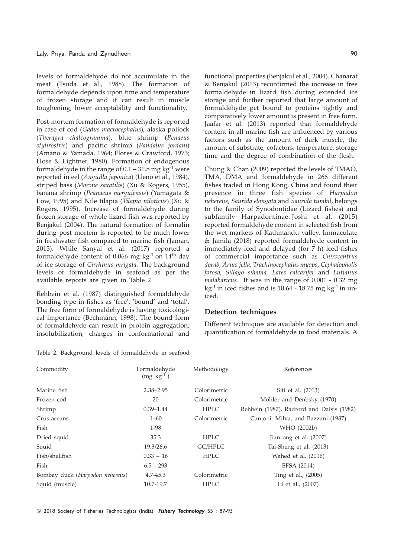levels of formaldehyde do not accumulate in the meat (Tsuda et al., 1988). The formation of formaldehyde depends upon time and temperature of frozen storage and it can result in muscle toughening, lower acceptability and functionality.

Post-mortem formation of formaldehyde is reported in case of cod (Gadus macrocephalus), alaska pollock (Theragra chalcogramma), blue shrimp (Penaeus stylirostris) and pacific shrimp (Pandalus jordani) (Amano & Yamada, 1964; Flores & Crawford, 1973; Hose & Lightner, 1980). Formation of endogenous formaldehyde in the range of  $0.1 - 31.8$  mg kg<sup>-1</sup> were reported in eel (Anguilla japonica) (Ueno et al., 1984), striped bass (Morone saxatilis) (Xu & Rogers, 1955), banana shrimp (Peanaeus merguiensis) (Yamagata & Low, 1995) and Nile tilapia (Tilapia niloticus) (Xu & Rogers, 1995). Increase of formaldehyde during frozen storage of whole lizard fish was reported by Benjakul (2004). The natural formation of formalin during post mortem is reported to be much lower in freshwater fish compared to marine fish (Jaman, 2013). While Sanyal et al. (2017) reported a formaldehyde content of 0.066 mg  $kg<sup>-1</sup>$  on  $14<sup>th</sup>$  day of ice storage of Cirrhinus mrigala. The background levels of formaldehyde in seafood as per the available reports are given in Table 2.

Rehbein et al. (1987) distinguished formaldehyde bonding type in fishes as 'free', 'bound' and 'total'. The free form of formaldehyde is having toxicological importance (Bechmann, 1998). The bound form of formaldehyde can result in protein aggregation, insolubilization, changes in conformational and

Table 2. Background levels of formaldehyde in seafood

functional properties (Benjakul et al., 2004). Chanarat & Benjakul (2013) reconfirmed the increase in free formaldehyde in lizard fish during extended ice storage and further reported that large amount of formaldehyde get bound to proteins tightly and comparatively lower amount is present in free form. Jaafar et al. (2013) reported that formaldehyde content in all marine fish are influenced by various factors such as the amount of dark muscle, the amount of substrate, cofactors, temperature, storage time and the degree of combination of the flesh.

Chung & Chan (2009) reported the levels of TMAO, TMA, DMA and formaldehyde in 266 different fishes traded in Hong Kong, China and found their presence in three fish species of Harpadon nehereus, Saurida elongata and Saurida tumbil, belongs to the family of Synodontidae (Lizard fishes) and subfamily Harpadontinae. Joshi et al. (2015) reported formaldehyde content in selected fish from the wet markets of Kathmandu valley. Immaculate & Jamila (2018) reported formaldehyde content in immediately iced and delayed (for 7 h) iced fishes of commercial importance such as Chirocentrus dorab, Arius jella, Trachinocephalus myops, Cephalopholis forosa, Sillago sihama, Lates calcarifer and Lutjanus malabaricus. It was in the range of 0.001 - 0.32 mg kg<sup>-1</sup> in iced fishes and is 10.64 - 18.75 mg kg<sup>-1</sup> in uniced.

#### Detection techniques

Different techniques are available for detection and quantification of formaldehyde in food materials. A

| Commodity                       | Formaldehyde<br>$(mg \text{ kg}^{-1})$ | Methodology  | References                                |
|---------------------------------|----------------------------------------|--------------|-------------------------------------------|
| Marine fish                     | $2.38 - 2.95$                          | Colorimetric | Siti et al. (2013)                        |
| Frozen cod                      | 20                                     | Colorimetric | Möhler and Denbsky (1970)                 |
| Shrimp                          | $0.39 - 1.44$                          | <b>HPLC</b>  | Rehbein (1987), Radford and Dalsis (1982) |
| Crustaceans                     | $1 - 60$                               | Colorimetric | Cantoni, Milva, and Bazzani (1987)        |
| Fish                            | $1-98$                                 |              | WHO (2002b)                               |
| Dried squid                     | 35.3                                   | <b>HPLC</b>  | Jianrong et al. (2007)                    |
| Squid                           | 19.3/26.6                              | GC/HPLC      | Tai-Sheng et al. (2013)                   |
| Fish/shellfish                  | $0.33 - 16$                            | <b>HPLC</b>  | Wahed et al. (2016)                       |
| Fish                            | $6.5 - 293$                            |              | EFSA (2014)                               |
| Bombay duck (Harpodon nehereus) | $4.7 - 45.3$                           | Colorimetric | Ting et al., (2005)                       |
| Squid (muscle)                  | 10.7-19.7                              | <b>HPLC</b>  | Li et al., (2007)                         |
|                                 |                                        |              |                                           |

© 2018 Society of Fisheries Technologists (India) Fishery Technology 55 : 87-93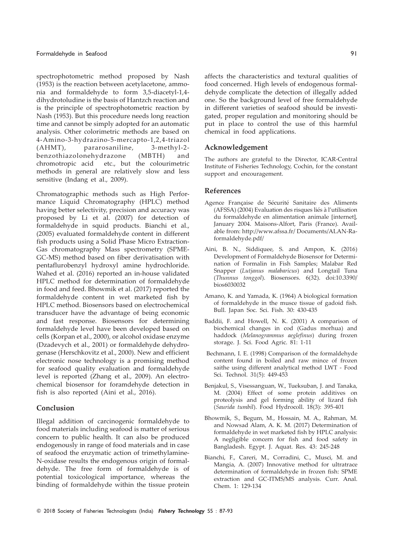spectrophotometric method proposed by Nash (1953) is the reaction between acetylacetone, ammonia and formaldehyde to form 3,5-diacetyl-1,4 dihydrotoludine is the basis of Hantzch reaction and is the principle of spectrophotometric reaction by Nash (1953). But this procedure needs long reaction time and cannot be simply adopted for an automatic analysis. Other colorimetric methods are based on 4-Amino-3-hydrazino-5-mercapto-1,2,4-triazol (AHMT), pararosaniline, 3-methyl-2 benzothiazolonehydrazone (MBTH) and chromotropic acid etc., but the colourimetric methods in general are relatively slow and less sensitive (Indang et al., 2009).

Chromatographic methods such as High Performance Liquid Chromatography (HPLC) method having better selectivity, precision and accuracy was proposed by Li et al. (2007) for detection of formaldehyde in squid products. Bianchi et al., (2005) evaluated formaldehyde content in different fish products using a Solid Phase Micro Extraction-Gas chromatography Mass spectrometry (SPME-GC-MS) method based on fiber derivatisation with pentaflurobenzyl hydroxyl amine hydrochloride. Wahed et al. (2016) reported an in-house validated HPLC method for determination of formaldehyde in food and feed. Bhowmik et al. (2017) reported the formaldehyde content in wet marketed fish by HPLC method. Biosensors based on electrochemical transducer have the advantage of being economic and fast response. Biosensors for determining formaldehyde level have been developed based on cells (Korpan et al., 2000), or alcohol oxidase enzyme (Dzadevych et al., 2001) or formaldehyde dehydrogenase (Herschkovitz et al., 2000). New and efficient electronic nose technology is a promising method for seafood quality evaluation and formaldehyde level is reported (Zhang et al., 2009). An electrochemical biosensor for foramdehyde detection in fish is also reported (Aini et al., 2016).

### Conclusion

Illegal addition of carcinogenic formaldehyde to food materials including seafood is matter of serious concern to public health. It can also be produced endogenously in range of food materials and in case of seafood the enzymatic action of trimethylamine-N-oxidase results the endogenous origin of formaldehyde. The free form of formaldehyde is of potential toxicological importance, whereas the binding of formaldehyde within the tissue protein affects the characteristics and textural qualities of food concerned. High levels of endogenous formaldehyde complicate the detection of illegally added one. So the background level of free formaldehyde in different varieties of seafood should be investigated, proper regulation and monitoring should be put in place to control the use of this harmful chemical in food applications.

#### Acknowledgement

The authors are grateful to the Director, ICAR-Central Institute of Fisheries Technology, Cochin, for the constant support and encouragement.

#### References

- Agence Française de Sécurité Sanitaire des Aliments (AFSSA) (2004) Evaluation des risques liés à l'utilisation du formaldehyde en alimentation animale [internet], January 2004. Maisons-Alfort, Paris (France). Available from: http://www.afssa.fr/ Documents/ALAN-Raformaldehyde.pdf/
- Aini, B. N., Siddiquee, S. and Ampon, K. (2016) Development of Formaldehyde Biosensor for Determination of Formalin in Fish Samples; Malabar Red Snapper (Lutjanus malabaricus) and Longtail Tuna (Thunnus tonggol). Biosensors. 6(32). doi:10.3390/ bios6030032
- Amano, K. and Yamada, K. (1964) A biological formation of formaldehyde in the musce tissue of gadoid fish. Bull. Japan Soc. Sci. Fish. 30: 430-435
- Baddii, F. and Howell, N. K. (2001) A comparison of biochemical changes in cod (Gadus morhua) and haddock (Melanogrammus aeglefinus) during frozen storage. J. Sci. Food Agric. 81: 1-11
- Bechmann, I. E. (1998) Comparison of the formaldehyde content found in boiled and raw mince of frozen saithe using different analytical method LWT - Food Sci. Technol. 31(5): 449-453
- Benjakul, S., Visessanguan, W., Tueksuban, J. and Tanaka, M. (2004) Effect of some protein additives on proteolysis and gel forming ability of lizard fish (Saurida tumbil). Food Hydrocoll. 18(3): 395-401
- Bhowmik, S., Begum, M., Hossain, M. A., Rahman, M. and Nowsad Alam, A. K. M. (2017) Determination of formaldehyde in wet marketed fish by HPLC analysis: A negligible concern for fish and food safety in Bangladesh. Egypt. J. Aquat. Res. 43: 245-248
- Bianchi, F., Careri, M., Corradini, C., Musci, M. and Mangia, A. (2007) Innovative method for ultratrace determination of formaldehyde in frozen fish: SPME extraction and GC-ITMS/MS analysis. Curr. Anal. Chem. 1: 129-134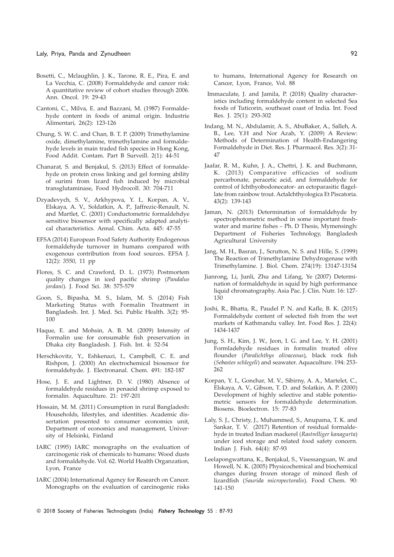#### Laly, Priya, Panda and Zynudheen 62 and 200 and 200 and 200 and 200 and 200 and 200 and 200 and 200 and 200 and 200 and 200 and 200 and 200 and 200 and 200 and 200 and 200 and 200 and 200 and 200 and 200 and 200 and 200 an

- Bosetti, C., Mclaughlin, J. K., Tarone, R. E., Pira, E. and La Vecchia, C. (2008) Formaldehyde and cancer risk: A quantitative review of cohort studies through 2006. Ann. Oncol. 19: 29-43
- Cantoni, C., Milva, E. and Bazzani, M. (1987) Formaldehyde content in foods of animal origin. Industrie Alimentari, 26(2): 123-126
- Chung, S. W. C. and Chan, B. T. P. (2009) Trimethylamine oxide, dimethylamine, trimethylamine and formaldehyde levels in main traded fish species in Hong Kong, Food Addit. Contam. Part B Surveill. 2(1): 44-51
- Chanarat, S. and Benjakul, S. (2013) Effect of formaldehyde on protein cross linking and gel forming ability of surimi from lizard fish induced by microbial transglutaminase, Food Hydrocoll. 30: 704-711
- Dzyadevych, S. V., Arkhypova, Y. I., Korpan, A. V., Elskaya, A. V., Soldatkin, A. P., Jaffrezic-Renault, N. and Martlet, C. (2001) Conductometric formaldehdye sensitive biosensor with specifically adapted analytical characteristics. Annal. Chim. Acta. 445: 47-55
- EFSA (2014) European Food Safety Authority Endogenous formaldehyde turnover in humans compared with exogenous contribution from food sources. EFSA J. 12(2): 3550, 11 pp
- Flores, S. C. and Crawford, D. L. (1973) Postmortem quality changes in iced pacific shrimp (Pandalus jordani). J. Food Sci. 38: 575-579
- Goon, S., Bipasha, M. S., Islam, M. S. (2014) Fish Marketing Status with Formalin Treatment in Bangladesh. Int. J. Med. Sci. Public Health. 3(2): 95- 100
- Haque, E. and Mohsin, A. B. M. (2009) Intensity of Formalin use for consumable fish preservation in Dhaka city Bangladesh. J. Fish. Int. 4: 52-54
- Herschkovitz, Y., Eshkenazi, I., Campbell, C. E. and Rishpon, J. (2000) An electrochemical biosensor for formaldehyde. J. Electronanal. Chem. 491: 182-187
- Hose, J. E. and Lightner, D. V. (1980) Absence of formaldehyde residues in penaeid shrimp exposed to formalin. Aquaculture. 21: 197-201
- Hossain, M. M. (2011) Consumption in rural Bangladesh: Households, lifestyles, and identities. Academic dissertation presented to consumer economics unit, Department of economics and management, University of Helsinki, Finland
- IARC (1995) IARC monographs on the evaluation of carcinogenic risk of chemicals to humans: Wood dusts and formaldehyde. Vol. 62. World Health Organzation, Lyon, France
- IARC (2004) International Agency for Research on Cancer. Monographs on the evaluation of carcinogenic risks

to humans, International Agency for Research on Cancer, Lyon, France, Vol. 88

- Immaculate, J. and Jamila, P. (2018) Quality characteristics including formaldehyde content in selected Sea foods of Tuticorin, southeast coast of India. Int. Food Res. J. 25(1): 293-302
- Indang, M. N., Abdulamir, A. S., AbuBaker, A., Salleh, A. B., Lee, Y.H and Nor Azah, Y. (2009) A Review: Methods of Determination of Health-Endangering Formaldehyde in Diet. Res. J. Pharmacol. Res. 3(2): 31- 47
- Jaafar, R. M., Kuhn, J. A., Chettri, J. K. and Buchmann, K. (2013) Comparative efficacies of sodium percarbonate, peracetic acid, and formaldehyde for control of Ichthyobodonecator- an ectoparasitic flagellate from rainbow trout. ActaIchthyologica Et Piscatoria. 43(2): 139-143
- Jaman, N. (2013) Determination of formaldehyde by spectrophotometric method in some important freshwater and marine fishes – Ph. D Thesis, Mymensingh: Department of Fisheries Technology, Bangladesh Agricultural University
- Jang, M. H., Basran, J., Scrutton, N. S. and Hille, S. (1999) The Reaction of Trimethylamine Dehydrogenase with Trimethylamine. J. Biol. Chem. 274(19): 13147-13154
- Jianrong, Li, Junli, Zhu and Lifang, Ye (2007) Determination of formaldehyde in squid by high performance liquid chromatography. Asia Pac. J. Clin. Nutr. 16: 127- 130
- Joshi, R., Bhatta, R., Paudel P. N. and Kafle, B. K. (2015) Formaldehyde content of selected fish from the wet markets of Kathmandu valley. Int. Food Res. J. 22(4): 1434-1437
- Jung, S. H., Kim, J. W., Jeon, I. G. and Lee, Y. H. (2001) Formladehyde residues in formalin treated olive flounder (Paralichthys olivaceous), black rock fish (Sebastes schlegeli) and seawater. Aquaculture. 194: 253- 262
- Korpan, Y. I., Gonchar, M. V., Sibirny, A. A., Martelet, C., Elskaya, A. V., Gibson, T. D. and Solatkin, A. P. (2000) Development of highly selective and stable potentiometric sensors for formaldehyde determination. Biosens. Bioelectron. 15: 77-83
- Laly, S. J., Christy, J., Muhammed, S., Anupama, T. K. and Sankar, T. V. (2017) Retention of residual formaldehyde in treated Indian mackerel (Rastrelliger kanagurta) under iced storage and related food safety concern. Indian J. Fish. 64(4): 87-93
- Leelapongwattana, K., Benjakul, S., Visessanguan, W. and Howell, N. K. (2005) Physicochemical and biochemical changes during frozen storage of minced flesh of lizardfish (Saurida micropectoralis). Food Chem. 90: 141-150
- © 2018 Society of Fisheries Technologists (India) Fishery Technology 55 : 87-93